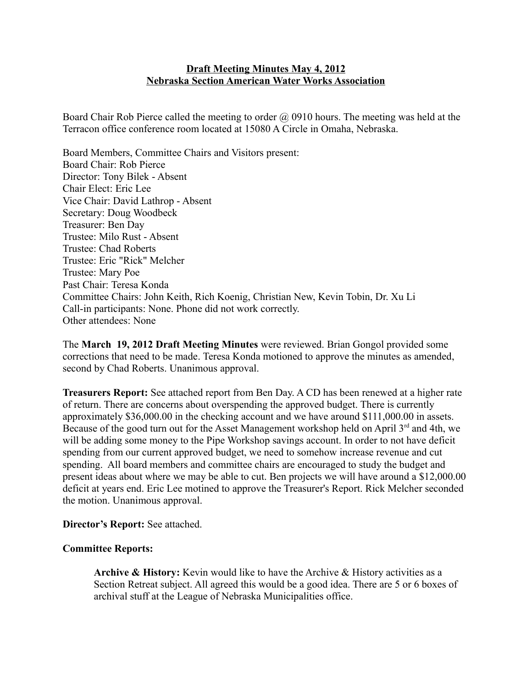### **Draft Meeting Minutes May 4, 2012 Nebraska Section American Water Works Association**

Board Chair Rob Pierce called the meeting to order @ 0910 hours. The meeting was held at the Terracon office conference room located at 15080 A Circle in Omaha, Nebraska.

Board Members, Committee Chairs and Visitors present: Board Chair: Rob Pierce Director: Tony Bilek - Absent Chair Elect: Eric Lee Vice Chair: David Lathrop - Absent Secretary: Doug Woodbeck Treasurer: Ben Day Trustee: Milo Rust - Absent Trustee: Chad Roberts Trustee: Eric "Rick" Melcher Trustee: Mary Poe Past Chair: Teresa Konda Committee Chairs: John Keith, Rich Koenig, Christian New, Kevin Tobin, Dr. Xu Li Call-in participants: None. Phone did not work correctly. Other attendees: None

The **March 19, 2012 Draft Meeting Minutes** were reviewed. Brian Gongol provided some corrections that need to be made. Teresa Konda motioned to approve the minutes as amended, second by Chad Roberts. Unanimous approval.

**Treasurers Report:** See attached report from Ben Day. A CD has been renewed at a higher rate of return. There are concerns about overspending the approved budget. There is currently approximately \$36,000.00 in the checking account and we have around \$111,000.00 in assets. Because of the good turn out for the Asset Management workshop held on April  $3<sup>rd</sup>$  and 4th, we will be adding some money to the Pipe Workshop savings account. In order to not have deficit spending from our current approved budget, we need to somehow increase revenue and cut spending. All board members and committee chairs are encouraged to study the budget and present ideas about where we may be able to cut. Ben projects we will have around a \$12,000.00 deficit at years end. Eric Lee motined to approve the Treasurer's Report. Rick Melcher seconded the motion. Unanimous approval.

**Director's Report:** See attached.

#### **Committee Reports:**

**Archive & History:** Kevin would like to have the Archive & History activities as a Section Retreat subject. All agreed this would be a good idea. There are 5 or 6 boxes of archival stuff at the League of Nebraska Municipalities office.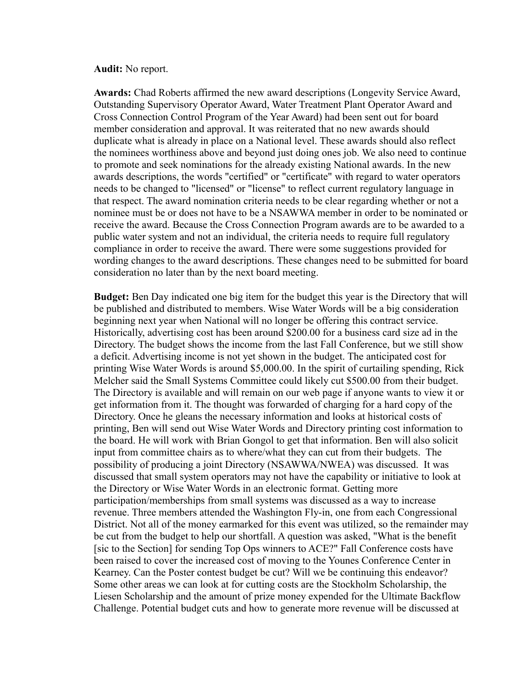#### **Audit:** No report.

**Awards:** Chad Roberts affirmed the new award descriptions (Longevity Service Award, Outstanding Supervisory Operator Award, Water Treatment Plant Operator Award and Cross Connection Control Program of the Year Award) had been sent out for board member consideration and approval. It was reiterated that no new awards should duplicate what is already in place on a National level. These awards should also reflect the nominees worthiness above and beyond just doing ones job. We also need to continue to promote and seek nominations for the already existing National awards. In the new awards descriptions, the words "certified" or "certificate" with regard to water operators needs to be changed to "licensed" or "license" to reflect current regulatory language in that respect. The award nomination criteria needs to be clear regarding whether or not a nominee must be or does not have to be a NSAWWA member in order to be nominated or receive the award. Because the Cross Connection Program awards are to be awarded to a public water system and not an individual, the criteria needs to require full regulatory compliance in order to receive the award. There were some suggestions provided for wording changes to the award descriptions. These changes need to be submitted for board consideration no later than by the next board meeting.

**Budget:** Ben Day indicated one big item for the budget this year is the Directory that will be published and distributed to members. Wise Water Words will be a big consideration beginning next year when National will no longer be offering this contract service. Historically, advertising cost has been around \$200.00 for a business card size ad in the Directory. The budget shows the income from the last Fall Conference, but we still show a deficit. Advertising income is not yet shown in the budget. The anticipated cost for printing Wise Water Words is around \$5,000.00. In the spirit of curtailing spending, Rick Melcher said the Small Systems Committee could likely cut \$500.00 from their budget. The Directory is available and will remain on our web page if anyone wants to view it or get information from it. The thought was forwarded of charging for a hard copy of the Directory. Once he gleans the necessary information and looks at historical costs of printing, Ben will send out Wise Water Words and Directory printing cost information to the board. He will work with Brian Gongol to get that information. Ben will also solicit input from committee chairs as to where/what they can cut from their budgets. The possibility of producing a joint Directory (NSAWWA/NWEA) was discussed. It was discussed that small system operators may not have the capability or initiative to look at the Directory or Wise Water Words in an electronic format. Getting more participation/memberships from small systems was discussed as a way to increase revenue. Three members attended the Washington Fly-in, one from each Congressional District. Not all of the money earmarked for this event was utilized, so the remainder may be cut from the budget to help our shortfall. A question was asked, "What is the benefit [sic to the Section] for sending Top Ops winners to ACE?" Fall Conference costs have been raised to cover the increased cost of moving to the Younes Conference Center in Kearney. Can the Poster contest budget be cut? Will we be continuing this endeavor? Some other areas we can look at for cutting costs are the Stockholm Scholarship, the Liesen Scholarship and the amount of prize money expended for the Ultimate Backflow Challenge. Potential budget cuts and how to generate more revenue will be discussed at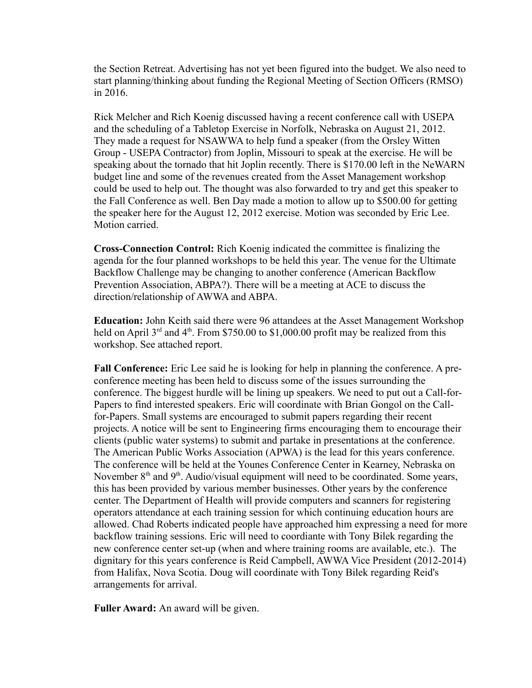the Section Retreat. Advertising has not yet been figured into the budget. We also need to start planning/thinking about funding the Regional Meeting of Section Officers (RMSO) in 2016.

Rick Melcher and Rich Koenig discussed having a recent conference call with USEPA and the scheduling of a Tabletop Exercise in Norfolk, Nebraska on August 21, 2012. They made a request for NSAWWA to help fund a speaker (from the Orsley Witten Group - USEPA Contractor) from Joplin, Missouri to speak at the exercise. He will be speaking about the tornado that hit Joplin recently. There is \$170.00 left in the NeWARN budget line and some of the revenues created from the Asset Management workshop could be used to help out. The thought was also forwarded to try and get this speaker to the Fall Conference as well. Ben Day made a motion to allow up to \$500.00 for getting the speaker here for the August 12, 2012 exercise. Motion was seconded by Eric Lee. Motion carried.

**Cross-Connection Control:** Rich Koenig indicated the committee is finalizing the agenda for the four planned workshops to be held this year. The venue for the Ultimate Backflow Challenge may be changing to another conference (American Backflow Prevention Association, ABPA?). There will be a meeting at ACE to discuss the direction/relationship of AWWA and ABPA.

**Education:** John Keith said there were 96 attandees at the Asset Management Workshop held on April  $3<sup>rd</sup>$  and  $4<sup>th</sup>$ . From \$750.00 to \$1,000.00 profit may be realized from this workshop. See attached report.

**Fall Conference:** Eric Lee said he is looking for help in planning the conference. A preconference meeting has been held to discuss some of the issues surrounding the conference. The biggest hurdle will be lining up speakers. We need to put out a Call-for-Papers to find interested speakers. Eric will coordinate with Brian Gongol on the Callfor-Papers. Small systems are encouraged to submit papers regarding their recent projects. A notice will be sent to Engineering firms encouraging them to encourage their clients (public water systems) to submit and partake in presentations at the conference. The American Public Works Association (APWA) is the lead for this years conference. The conference will be held at the Younes Conference Center in Kearney, Nebraska on November  $8<sup>th</sup>$  and  $9<sup>th</sup>$ . Audio/visual equipment will need to be coordinated. Some years, this has been provided by various member businesses. Other years by the conference center. The Department of Health will provide computers and scanners for registering operators attendance at each training session for which continuing education hours are allowed. Chad Roberts indicated people have approached him expressing a need for more backflow training sessions. Eric will need to coordiante with Tony Bilek regarding the new conference center set-up (when and where training rooms are available, etc.). The dignitary for this years conference is Reid Campbell, AWWA Vice President (2012-2014) from Halifax, Nova Scotia. Doug will coordinate with Tony Bilek regarding Reid's arrangements for arrival.

**Fuller Award:** An award will be given.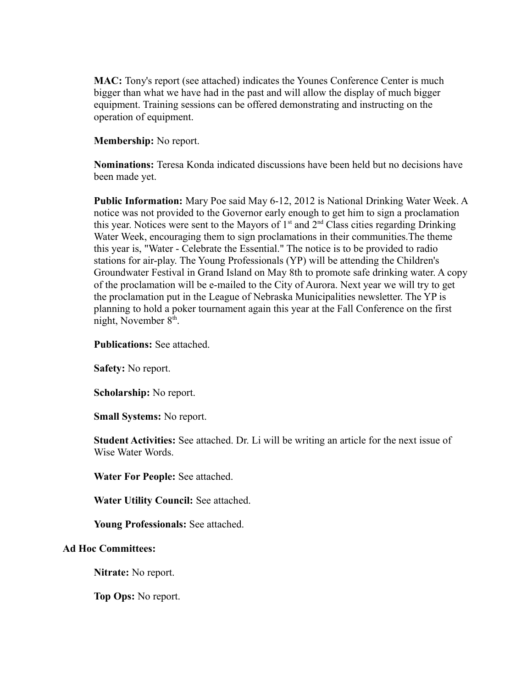**MAC:** Tony's report (see attached) indicates the Younes Conference Center is much bigger than what we have had in the past and will allow the display of much bigger equipment. Training sessions can be offered demonstrating and instructing on the operation of equipment.

### **Membership:** No report.

**Nominations:** Teresa Konda indicated discussions have been held but no decisions have been made yet.

**Public Information:** Mary Poe said May 6-12, 2012 is National Drinking Water Week. A notice was not provided to the Governor early enough to get him to sign a proclamation this year. Notices were sent to the Mayors of  $1<sup>st</sup>$  and  $2<sup>nd</sup>$  Class cities regarding Drinking Water Week, encouraging them to sign proclamations in their communities.The theme this year is, "Water - Celebrate the Essential." The notice is to be provided to radio stations for air-play. The Young Professionals (YP) will be attending the Children's Groundwater Festival in Grand Island on May 8th to promote safe drinking water. A copy of the proclamation will be e-mailed to the City of Aurora. Next year we will try to get the proclamation put in the League of Nebraska Municipalities newsletter. The YP is planning to hold a poker tournament again this year at the Fall Conference on the first night, November  $8<sup>th</sup>$ .

#### **Publications:** See attached.

**Safety:** No report.

**Scholarship:** No report.

**Small Systems:** No report.

**Student Activities:** See attached. Dr. Li will be writing an article for the next issue of Wise Water Words.

**Water For People:** See attached.

**Water Utility Council:** See attached.

**Young Professionals:** See attached.

#### **Ad Hoc Committees:**

**Nitrate:** No report.

**Top Ops:** No report.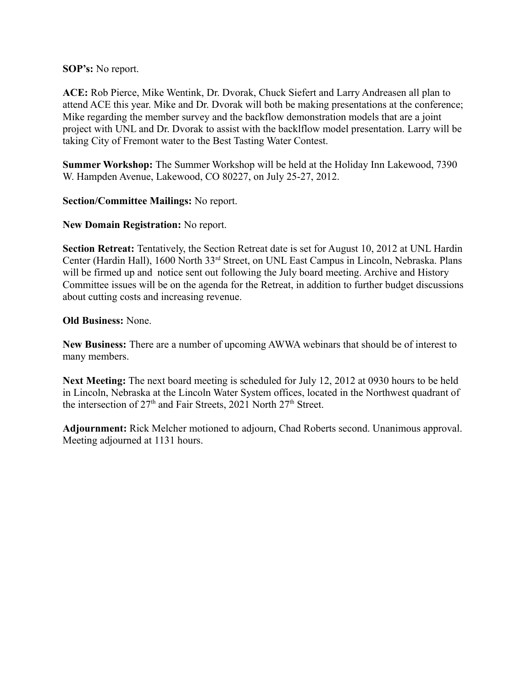**SOP's:** No report.

**ACE:** Rob Pierce, Mike Wentink, Dr. Dvorak, Chuck Siefert and Larry Andreasen all plan to attend ACE this year. Mike and Dr. Dvorak will both be making presentations at the conference; Mike regarding the member survey and the backflow demonstration models that are a joint project with UNL and Dr. Dvorak to assist with the backlflow model presentation. Larry will be taking City of Fremont water to the Best Tasting Water Contest.

**Summer Workshop:** The Summer Workshop will be held at the Holiday Inn Lakewood, 7390 W. Hampden Avenue, Lakewood, CO 80227, on July 25-27, 2012.

**Section/Committee Mailings:** No report.

**New Domain Registration:** No report.

**Section Retreat:** Tentatively, the Section Retreat date is set for August 10, 2012 at UNL Hardin Center (Hardin Hall), 1600 North 33rd Street, on UNL East Campus in Lincoln, Nebraska. Plans will be firmed up and notice sent out following the July board meeting. Archive and History Committee issues will be on the agenda for the Retreat, in addition to further budget discussions about cutting costs and increasing revenue.

**Old Business:** None.

**New Business:** There are a number of upcoming AWWA webinars that should be of interest to many members.

**Next Meeting:** The next board meeting is scheduled for July 12, 2012 at 0930 hours to be held in Lincoln, Nebraska at the Lincoln Water System offices, located in the Northwest quadrant of the intersection of  $27<sup>th</sup>$  and Fair Streets, 2021 North  $27<sup>th</sup>$  Street.

**Adjournment:** Rick Melcher motioned to adjourn, Chad Roberts second. Unanimous approval. Meeting adjourned at 1131 hours.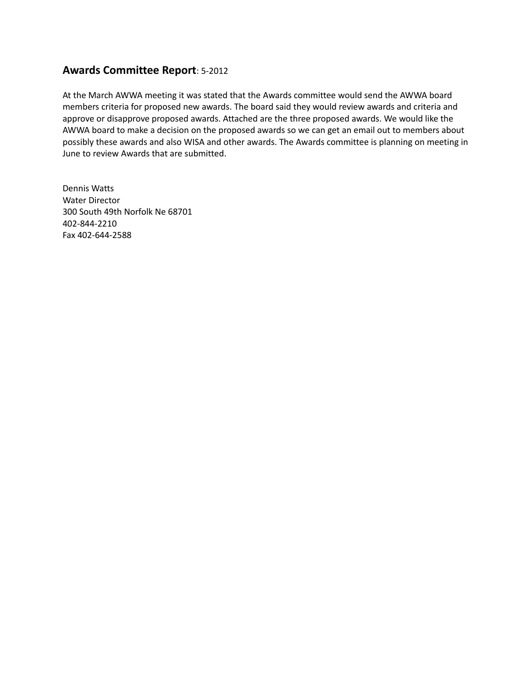## **Awards Committee Report**: 5-2012

At the March AWWA meeting it was stated that the Awards committee would send the AWWA board members criteria for proposed new awards. The board said they would review awards and criteria and approve or disapprove proposed awards. Attached are the three proposed awards. We would like the AWWA board to make a decision on the proposed awards so we can get an email out to members about possibly these awards and also WISA and other awards. The Awards committee is planning on meeting in June to review Awards that are submitted.

Dennis Watts Water Director 300 South 49th Norfolk Ne 68701 402-844-2210 Fax 402-644-2588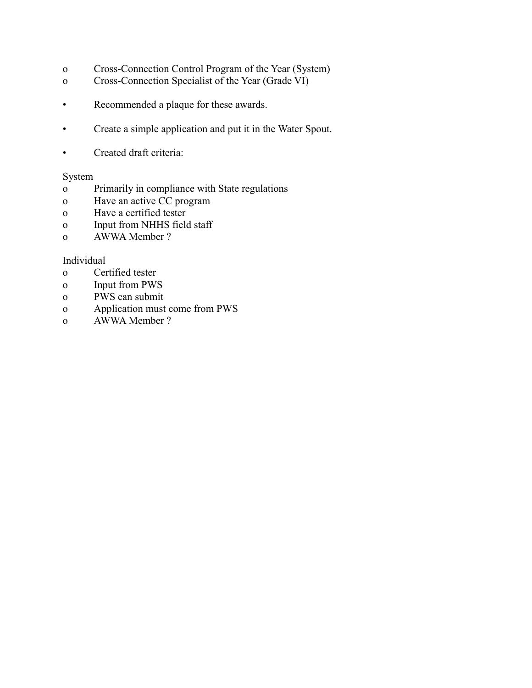- o Cross-Connection Control Program of the Year (System)
- o Cross-Connection Specialist of the Year (Grade VI)
- Recommended a plaque for these awards.
- Create a simple application and put it in the Water Spout.
- Created draft criteria:

#### System

- o Primarily in compliance with State regulations
- o Have an active CC program
- o Have a certified tester
- o Input from NHHS field staff
- o AWWA Member ?

#### Individual

- o Certified tester
- o Input from PWS
- o PWS can submit
- o Application must come from PWS
- o AWWA Member ?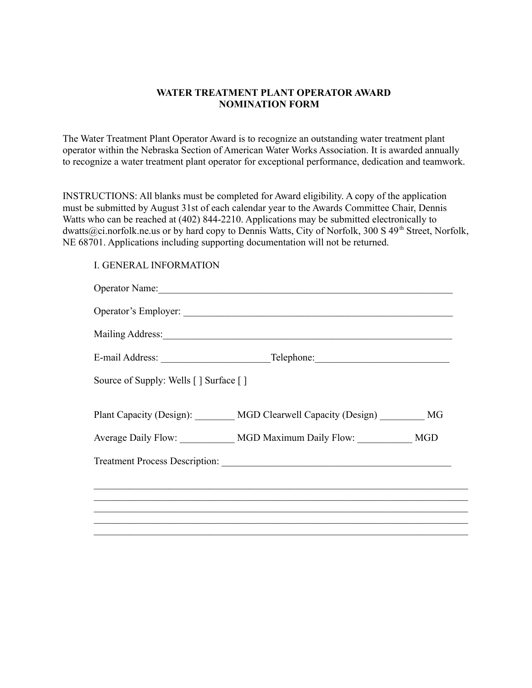#### **WATER TREATMENT PLANT OPERATOR AWARD NOMINATION FORM**

The Water Treatment Plant Operator Award is to recognize an outstanding water treatment plant operator within the Nebraska Section of American Water Works Association. It is awarded annually to recognize a water treatment plant operator for exceptional performance, dedication and teamwork.

INSTRUCTIONS: All blanks must be completed for Award eligibility. A copy of the application must be submitted by August 31st of each calendar year to the Awards Committee Chair, Dennis Watts who can be reached at (402) 844-2210. Applications may be submitted electronically to dwatts@ci.norfolk.ne.us or by hard copy to Dennis Watts, City of Norfolk, 300 S 49<sup>th</sup> Street, Norfolk, NE 68701. Applications including supporting documentation will not be returned.

### I. GENERAL INFORMATION

|                                       | Operator Name: 2008. [2016] Decree Contact Tennis and Tennis and Tennis and Tennis and Tennis and Tennis and Tennis and Tennis and Tennis and Tennis and Tennis and Tennis and Tennis and Tennis and Tennis and Tennis and Ten |  |
|---------------------------------------|--------------------------------------------------------------------------------------------------------------------------------------------------------------------------------------------------------------------------------|--|
|                                       |                                                                                                                                                                                                                                |  |
|                                       |                                                                                                                                                                                                                                |  |
|                                       |                                                                                                                                                                                                                                |  |
| Source of Supply: Wells [] Surface [] |                                                                                                                                                                                                                                |  |
|                                       | Plant Capacity (Design): MGD Clearwell Capacity (Design) MG                                                                                                                                                                    |  |
|                                       | Average Daily Flow: MGD Maximum Daily Flow: MGD                                                                                                                                                                                |  |
|                                       |                                                                                                                                                                                                                                |  |
|                                       |                                                                                                                                                                                                                                |  |
|                                       |                                                                                                                                                                                                                                |  |
|                                       |                                                                                                                                                                                                                                |  |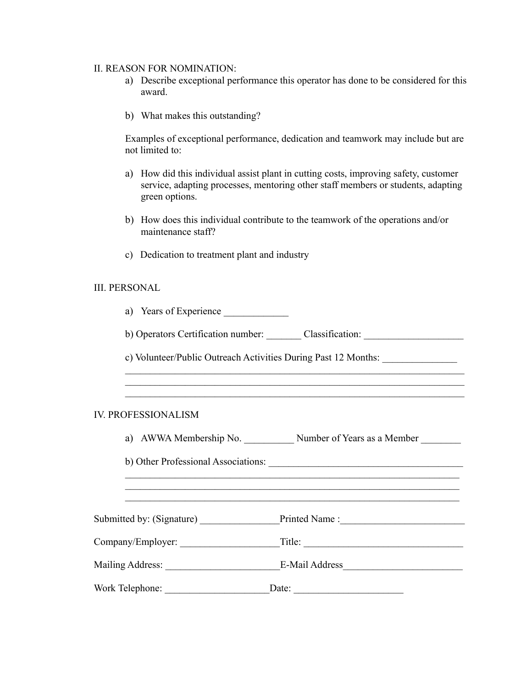#### II. REASON FOR NOMINATION:

- a) Describe exceptional performance this operator has done to be considered for this award.
- b) What makes this outstanding?

Examples of exceptional performance, dedication and teamwork may include but are not limited to:

- a) How did this individual assist plant in cutting costs, improving safety, customer service, adapting processes, mentoring other staff members or students, adapting green options.
- b) How does this individual contribute to the teamwork of the operations and/or maintenance staff?
- c) Dedication to treatment plant and industry

#### III. PERSONAL

| a) Years of Experience     |                                                                                  |
|----------------------------|----------------------------------------------------------------------------------|
|                            | b) Operators Certification number: Classification: _____________________________ |
|                            | c) Volunteer/Public Outreach Activities During Past 12 Months:                   |
|                            |                                                                                  |
| <b>IV. PROFESSIONALISM</b> |                                                                                  |
|                            | a) AWWA Membership No. Number of Years as a Member                               |
|                            |                                                                                  |
|                            |                                                                                  |
|                            | Submitted by: (Signature) _________________Printed Name :_______________________ |
|                            |                                                                                  |
|                            |                                                                                  |

Work Telephone: \_\_\_\_\_\_\_\_\_\_\_\_\_\_\_\_\_\_\_\_\_Date: \_\_\_\_\_\_\_\_\_\_\_\_\_\_\_\_\_\_\_\_\_\_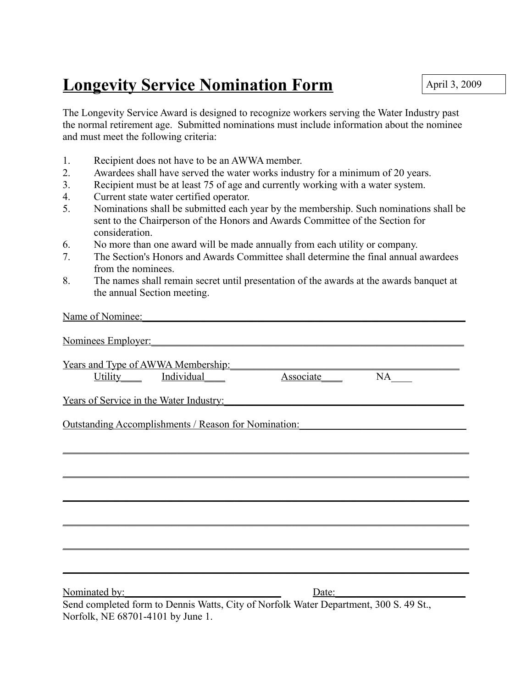# **Longevity Service Nomination Form**

The Longevity Service Award is designed to recognize workers serving the Water Industry past the normal retirement age. Submitted nominations must include information about the nominee and must meet the following criteria:

- 1. Recipient does not have to be an AWWA member.
- 2. Awardees shall have served the water works industry for a minimum of 20 years.
- 3. Recipient must be at least 75 of age and currently working with a water system.
- 4. Current state water certified operator.

Name of Nominee:

- 5. Nominations shall be submitted each year by the membership. Such nominations shall be sent to the Chairperson of the Honors and Awards Committee of the Section for consideration.
- 6. No more than one award will be made annually from each utility or company.
- 7. The Section's Honors and Awards Committee shall determine the final annual awardees from the nominees.
- 8. The names shall remain secret until presentation of the awards at the awards banquet at the annual Section meeting.

| ranie of Follime.                                                                                                          |                                 |                       |
|----------------------------------------------------------------------------------------------------------------------------|---------------------------------|-----------------------|
| Nominees Employer: Nominees Employer:                                                                                      |                                 |                       |
| Years and Type of AWWA Membership:                                                                                         |                                 |                       |
|                                                                                                                            | Utility Individual Associate NA |                       |
| <u>Years of Service in the Water Industry:<br/> Learner and the Water Industry:</u>                                        |                                 |                       |
| <u>Outstanding Accomplishments / Reason for Nomination: [2013]</u>                                                         |                                 |                       |
|                                                                                                                            |                                 |                       |
|                                                                                                                            |                                 |                       |
|                                                                                                                            |                                 |                       |
|                                                                                                                            |                                 |                       |
|                                                                                                                            |                                 |                       |
|                                                                                                                            |                                 |                       |
|                                                                                                                            |                                 |                       |
| Nominated by:                                                                                                              |                                 | Date: $\qquad \qquad$ |
| Send completed form to Dennis Watts, City of Norfolk Water Department, 300 S. 49 St.,<br>Norfolk, NE 68701-4101 by June 1. |                                 |                       |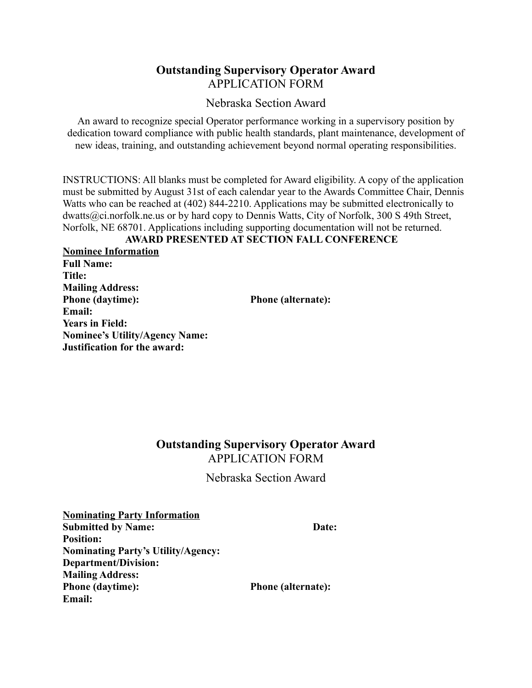## **Outstanding Supervisory Operator Award** APPLICATION FORM

Nebraska Section Award

An award to recognize special Operator performance working in a supervisory position by dedication toward compliance with public health standards, plant maintenance, development of new ideas, training, and outstanding achievement beyond normal operating responsibilities.

INSTRUCTIONS: All blanks must be completed for Award eligibility. A copy of the application must be submitted by August 31st of each calendar year to the Awards Committee Chair, Dennis Watts who can be reached at (402) 844-2210. Applications may be submitted electronically to dwatts@ci.norfolk.ne.us or by hard copy to Dennis Watts, City of Norfolk, 300 S 49th Street, Norfolk, NE 68701. Applications including supporting documentation will not be returned.

## **AWARD PRESENTED AT SECTION FALL CONFERENCE**

**Nominee Information Full Name: Title: Mailing Address: Phone (daytime): Phone (alternate): Email: Years in Field: Nominee's Utility/Agency Name: Justification for the award:** 

## **Outstanding Supervisory Operator Award** APPLICATION FORM

Nebraska Section Award

**Nominating Party Information Submitted by Name:** Date: Position: **Nominating Party's Utility/Agency: Department/Division: Mailing Address: Phone (daytime): Phone (alternate): Email:**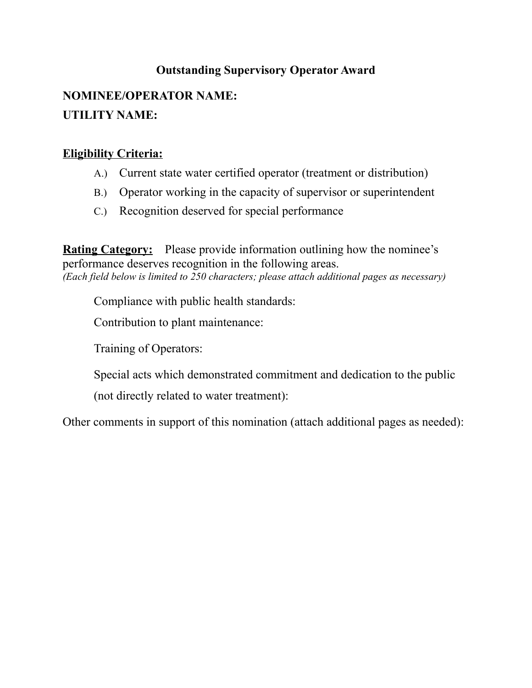## **Outstanding Supervisory Operator Award**

## **NOMINEE/OPERATOR NAME: UTILITY NAME:**

## **Eligibility Criteria:**

- A.) Current state water certified operator (treatment or distribution)
- B.) Operator working in the capacity of supervisor or superintendent
- C.) Recognition deserved for special performance

**Rating Category:** Please provide information outlining how the nominee's performance deserves recognition in the following areas. *(Each field below is limited to 250 characters; please attach additional pages as necessary)*

Compliance with public health standards:

Contribution to plant maintenance:

Training of Operators:

Special acts which demonstrated commitment and dedication to the public

(not directly related to water treatment):

Other comments in support of this nomination (attach additional pages as needed):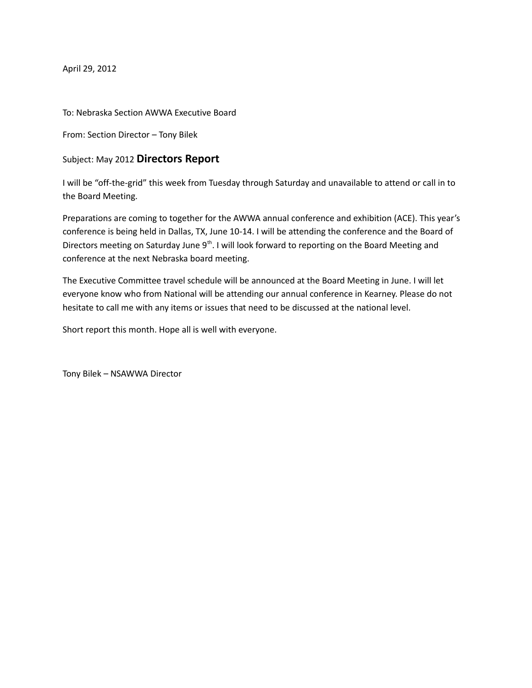April 29, 2012

To: Nebraska Section AWWA Executive Board

From: Section Director – Tony Bilek

Subject: May 2012 **Directors Report**

I will be "off-the-grid" this week from Tuesday through Saturday and unavailable to attend or call in to the Board Meeting.

Preparations are coming to together for the AWWA annual conference and exhibition (ACE). This year's conference is being held in Dallas, TX, June 10-14. I will be attending the conference and the Board of Directors meeting on Saturday June  $9<sup>th</sup>$ . I will look forward to reporting on the Board Meeting and conference at the next Nebraska board meeting.

The Executive Committee travel schedule will be announced at the Board Meeting in June. I will let everyone know who from National will be attending our annual conference in Kearney. Please do not hesitate to call me with any items or issues that need to be discussed at the national level.

Short report this month. Hope all is well with everyone.

Tony Bilek – NSAWWA Director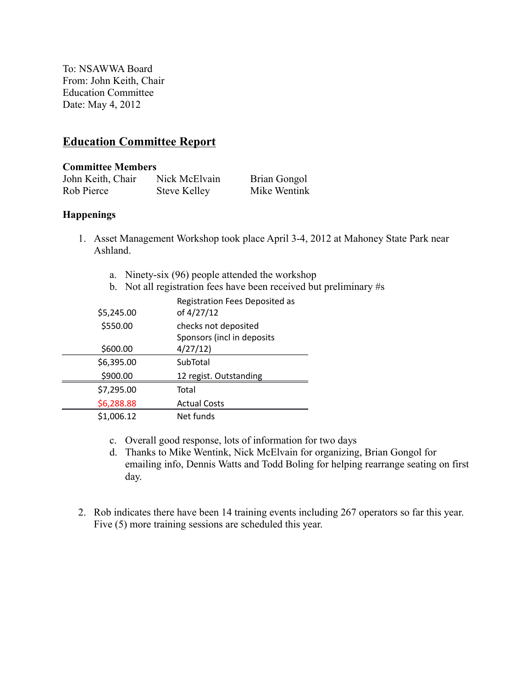To: NSAWWA Board From: John Keith, Chair Education Committee Date: May 4, 2012

## **Education Committee Report**

#### **Committee Members**

| John Keith, Chair | Nick McElvain | Brian Gongol |
|-------------------|---------------|--------------|
| Rob Pierce        | Steve Kelley  | Mike Wentink |

### **Happenings**

- 1. Asset Management Workshop took place April 3-4, 2012 at Mahoney State Park near Ashland.
	- a. Ninety-six (96) people attended the workshop
	- b. Not all registration fees have been received but preliminary #s

| \$5,245.00 | Registration Fees Deposited as<br>of 4/27/12 |
|------------|----------------------------------------------|
| \$550.00   | checks not deposited                         |
|            | Sponsors (incl in deposits                   |
| \$600.00   | 4/27/12                                      |
| \$6,395.00 | SubTotal                                     |
| \$900.00   | 12 regist. Outstanding                       |
| \$7,295.00 | Total                                        |
| \$6,288.88 | <b>Actual Costs</b>                          |
| \$1,006.12 | Net funds                                    |

- c. Overall good response, lots of information for two days
- d. Thanks to Mike Wentink, Nick McElvain for organizing, Brian Gongol for emailing info, Dennis Watts and Todd Boling for helping rearrange seating on first day.
- 2. Rob indicates there have been 14 training events including 267 operators so far this year. Five (5) more training sessions are scheduled this year.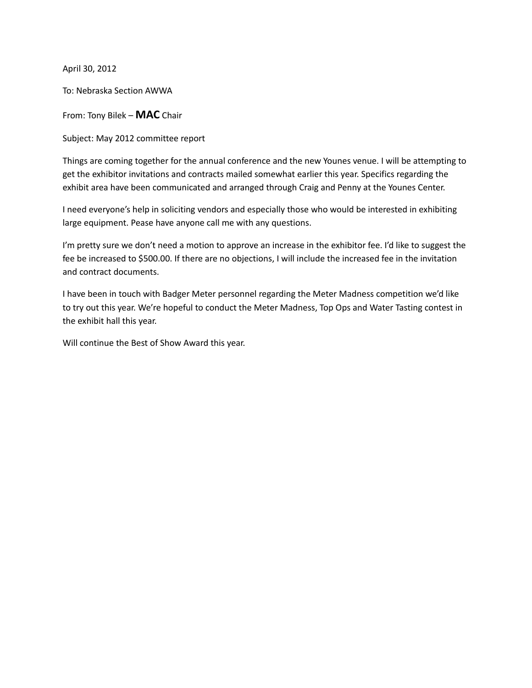April 30, 2012

To: Nebraska Section AWWA

From: Tony Bilek – **MAC** Chair

Subject: May 2012 committee report

Things are coming together for the annual conference and the new Younes venue. I will be attempting to get the exhibitor invitations and contracts mailed somewhat earlier this year. Specifics regarding the exhibit area have been communicated and arranged through Craig and Penny at the Younes Center.

I need everyone's help in soliciting vendors and especially those who would be interested in exhibiting large equipment. Pease have anyone call me with any questions.

I'm pretty sure we don't need a motion to approve an increase in the exhibitor fee. I'd like to suggest the fee be increased to \$500.00. If there are no objections, I will include the increased fee in the invitation and contract documents.

I have been in touch with Badger Meter personnel regarding the Meter Madness competition we'd like to try out this year. We're hopeful to conduct the Meter Madness, Top Ops and Water Tasting contest in the exhibit hall this year.

Will continue the Best of Show Award this year.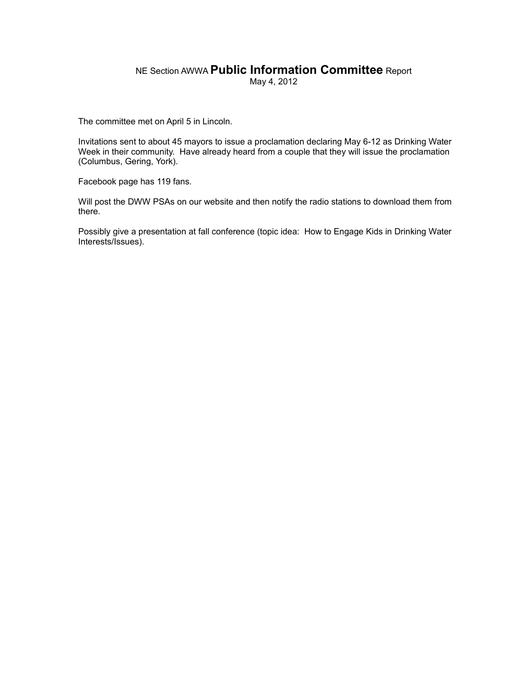## NE Section AWWA **Public Information Committee** Report

May 4, 2012

The committee met on April 5 in Lincoln.

Invitations sent to about 45 mayors to issue a proclamation declaring May 6-12 as Drinking Water Week in their community. Have already heard from a couple that they will issue the proclamation (Columbus, Gering, York).

Facebook page has 119 fans.

Will post the DWW PSAs on our website and then notify the radio stations to download them from there.

Possibly give a presentation at fall conference (topic idea: How to Engage Kids in Drinking Water Interests/Issues).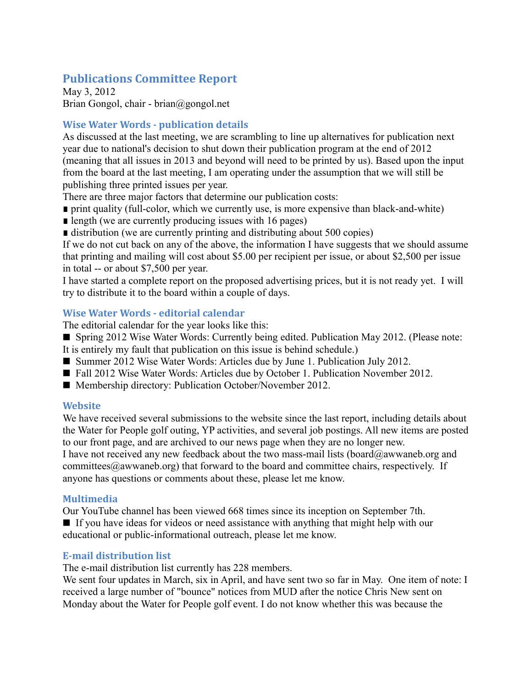## **Publications Committee Report**

May 3, 2012 Brian Gongol, chair - brian@gongol.net

## **Wise Water Words - publication details**

As discussed at the last meeting, we are scrambling to line up alternatives for publication next year due to national's decision to shut down their publication program at the end of 2012 (meaning that all issues in 2013 and beyond will need to be printed by us). Based upon the input from the board at the last meeting, I am operating under the assumption that we will still be publishing three printed issues per year.

- There are three major factors that determine our publication costs:
- print quality (full-color, which we currently use, is more expensive than black-and-white)
- length (we are currently producing issues with 16 pages)
- distribution (we are currently printing and distributing about 500 copies)

If we do not cut back on any of the above, the information I have suggests that we should assume that printing and mailing will cost about \$5.00 per recipient per issue, or about \$2,500 per issue in total -- or about \$7,500 per year.

I have started a complete report on the proposed advertising prices, but it is not ready yet. I will try to distribute it to the board within a couple of days.

## **Wise Water Words - editorial calendar**

The editorial calendar for the year looks like this:

- Spring 2012 Wise Water Words: Currently being edited. Publication May 2012. (Please note: It is entirely my fault that publication on this issue is behind schedule.)
- Summer 2012 Wise Water Words: Articles due by June 1. Publication July 2012.
- Fall 2012 Wise Water Words: Articles due by October 1. Publication November 2012.
- Membership directory: Publication October/November 2012.

## **Website**

We have received several submissions to the website since the last report, including details about the Water for People golf outing, YP activities, and several job postings. All new items are posted to our front page, and are archived to our news page when they are no longer new.

I have not received any new feedback about the two mass-mail lists (board@awwaneb.org and committees $@a$ wwaneb.org) that forward to the board and committee chairs, respectively. If anyone has questions or comments about these, please let me know.

## **Multimedia**

Our YouTube channel has been viewed 668 times since its inception on September 7th.

If you have ideas for videos or need assistance with anything that might help with our educational or public-informational outreach, please let me know.

## **E-mail distribution list**

The e-mail distribution list currently has 228 members.

We sent four updates in March, six in April, and have sent two so far in May. One item of note: I received a large number of "bounce" notices from MUD after the notice Chris New sent on Monday about the Water for People golf event. I do not know whether this was because the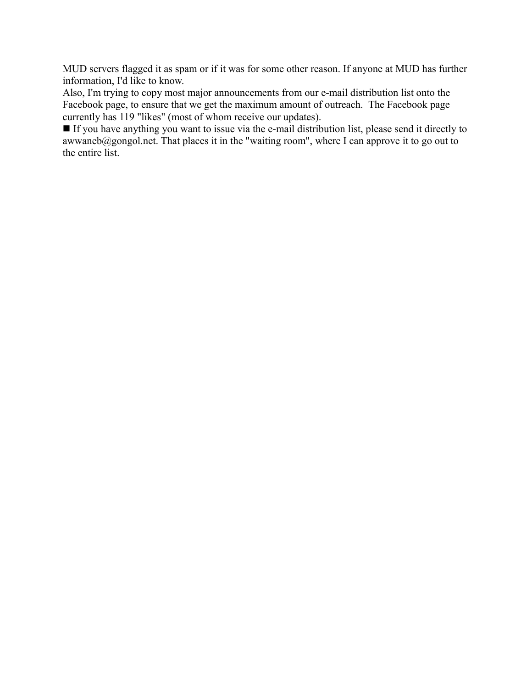MUD servers flagged it as spam or if it was for some other reason. If anyone at MUD has further information, I'd like to know.

Also, I'm trying to copy most major announcements from our e-mail distribution list onto the Facebook page, to ensure that we get the maximum amount of outreach. The Facebook page currently has 119 "likes" (most of whom receive our updates).

If you have anything you want to issue via the e-mail distribution list, please send it directly to awwaneb@gongol.net. That places it in the "waiting room", where I can approve it to go out to the entire list.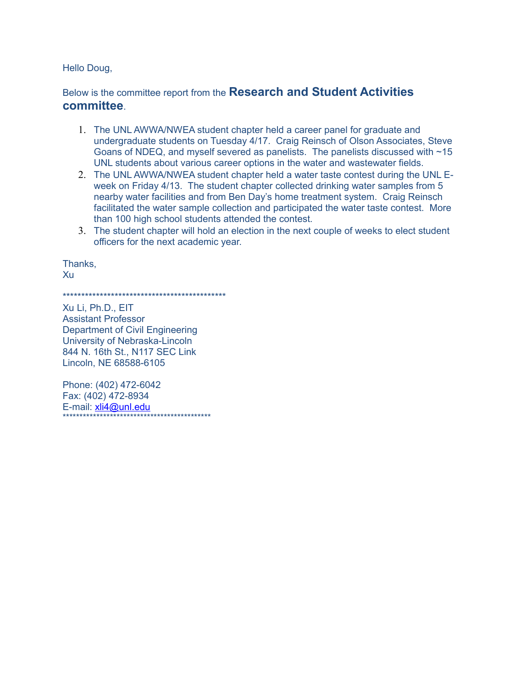Hello Doug,

Below is the committee report from the **Research and Student Activities committee**.

- 1. The UNL AWWA/NWEA student chapter held a career panel for graduate and undergraduate students on Tuesday 4/17. Craig Reinsch of Olson Associates, Steve Goans of NDEQ, and myself severed as panelists. The panelists discussed with ~15 UNL students about various career options in the water and wastewater fields.
- 2. The UNL AWWA/NWEA student chapter held a water taste contest during the UNL Eweek on Friday 4/13. The student chapter collected drinking water samples from 5 nearby water facilities and from Ben Day's home treatment system. Craig Reinsch facilitated the water sample collection and participated the water taste contest. More than 100 high school students attended the contest.
- 3. The student chapter will hold an election in the next couple of weeks to elect student officers for the next academic year.

Thanks, Xu

\*\*\*\*\*\*\*\*\*\*\*\*\*\*\*\*\*\*\*\*\*\*\*\*\*\*\*\*\*\*\*\*\*\*\*\*\*\*\*\*\*\*\*\*

Xu Li, Ph.D., EIT Assistant Professor Department of Civil Engineering University of Nebraska-Lincoln 844 N. 16th St., N117 SEC Link Lincoln, NE 68588-6105

Phone: (402) 472-6042 Fax: (402) 472-8934 E-mail: [xli4@unl.edu](mailto:xli4@unl.edu) \*\*\*\*\*\*\*\*\*\*\*\*\*\*\*\*\*\*\*\*\*\*\*\*\*\*\*\*\*\*\*\*\*\*\*\*\*\*\*\*\*\*\*\*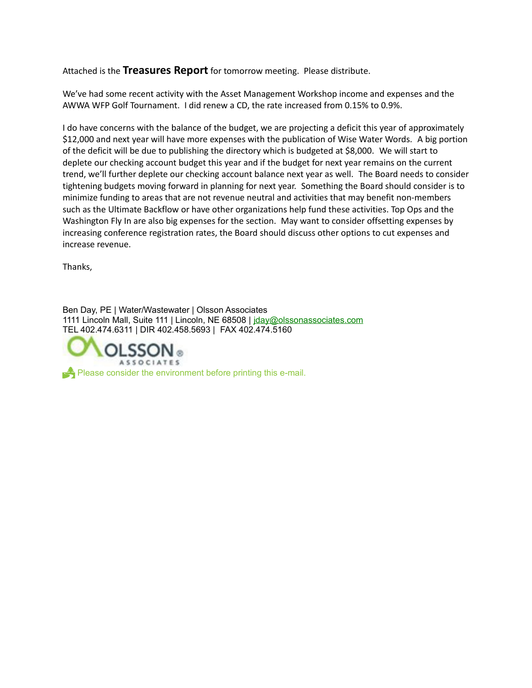Attached is the **Treasures Report** for tomorrow meeting. Please distribute.

We've had some recent activity with the Asset Management Workshop income and expenses and the AWWA WFP Golf Tournament. I did renew a CD, the rate increased from 0.15% to 0.9%.

I do have concerns with the balance of the budget, we are projecting a deficit this year of approximately \$12,000 and next year will have more expenses with the publication of Wise Water Words. A big portion of the deficit will be due to publishing the directory which is budgeted at \$8,000. We will start to deplete our checking account budget this year and if the budget for next year remains on the current trend, we'll further deplete our checking account balance next year as well. The Board needs to consider tightening budgets moving forward in planning for next year. Something the Board should consider is to minimize funding to areas that are not revenue neutral and activities that may benefit non-members such as the Ultimate Backflow or have other organizations help fund these activities. Top Ops and the Washington Fly In are also big expenses for the section. May want to consider offsetting expenses by increasing conference registration rates, the Board should discuss other options to cut expenses and increase revenue.

Thanks,

Ben Day, PE | Water/Wastewater | Olsson Associates 1111 Lincoln Mall, Suite 111 | Lincoln, NE 68508 | [jday@olssonassociates.com](mailto:jday@oaconsulting.com) TEL 402.474.6311 | DIR 402.458.5693 | FAX 402.474.5160



 $\blacktriangleright$  Please consider the environment before printing this e-mail.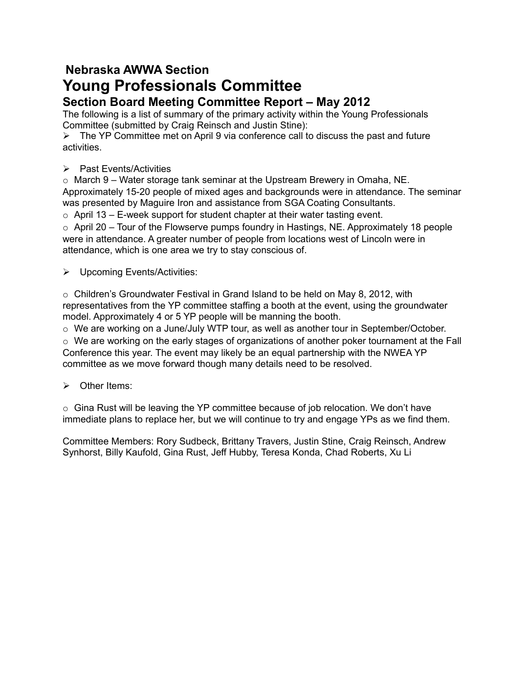## **Nebraska AWWA Section Young Professionals Committee**

## **Section Board Meeting Committee Report – May 2012**

The following is a list of summary of the primary activity within the Young Professionals Committee (submitted by Craig Reinsch and Justin Stine):

 $\triangleright$  The YP Committee met on April 9 via conference call to discuss the past and future activities.

 $\triangleright$  Past Events/Activities

 $\circ$  March 9 – Water storage tank seminar at the Upstream Brewery in Omaha, NE. Approximately 15-20 people of mixed ages and backgrounds were in attendance. The seminar was presented by Maguire Iron and assistance from SGA Coating Consultants.

 $\circ$  April 13 – E-week support for student chapter at their water tasting event.

 $\circ$  April 20 – Tour of the Flowserve pumps foundry in Hastings, NE. Approximately 18 people were in attendance. A greater number of people from locations west of Lincoln were in attendance, which is one area we try to stay conscious of.

Upcoming Events/Activities:

 $\circ$  Children's Groundwater Festival in Grand Island to be held on May 8, 2012, with representatives from the YP committee staffing a booth at the event, using the groundwater model. Approximately 4 or 5 YP people will be manning the booth.

 $\circ$  We are working on a June/July WTP tour, as well as another tour in September/October.

 $\circ$  We are working on the early stages of organizations of another poker tournament at the Fall Conference this year. The event may likely be an equal partnership with the NWEA YP committee as we move forward though many details need to be resolved.

 $\triangleright$  Other Items:

 $\circ$  Gina Rust will be leaving the YP committee because of job relocation. We don't have immediate plans to replace her, but we will continue to try and engage YPs as we find them.

Committee Members: Rory Sudbeck, Brittany Travers, Justin Stine, Craig Reinsch, Andrew Synhorst, Billy Kaufold, Gina Rust, Jeff Hubby, Teresa Konda, Chad Roberts, Xu Li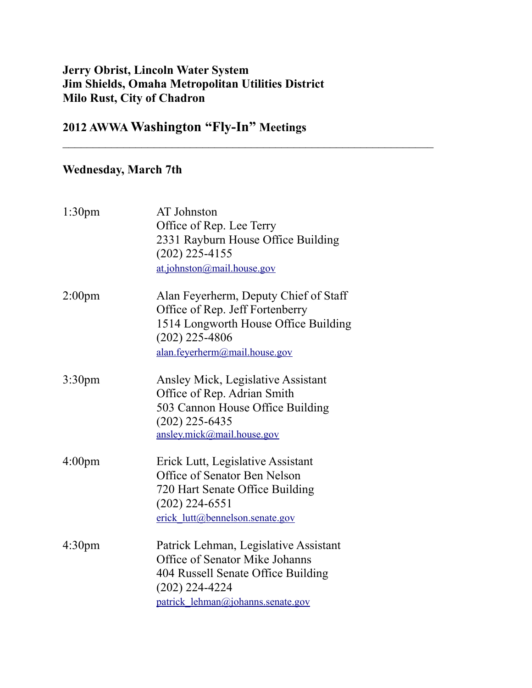## **Jerry Obrist, Lincoln Water System Jim Shields, Omaha Metropolitan Utilities District Milo Rust, City of Chadron**

 $\mathcal{L}_\text{max}$  , and the contract of the contract of the contract of the contract of the contract of the contract of the contract of the contract of the contract of the contract of the contract of the contract of the contr

## **2012 AWWA Washington "Fly-In" Meetings**

## **Wednesday, March 7th**

| 1:30 <sub>pm</sub> | AT Johnston<br>Office of Rep. Lee Terry<br>2331 Rayburn House Office Building<br>$(202)$ 225-4155<br>at.johnston@mail.house.gov                                        |
|--------------------|------------------------------------------------------------------------------------------------------------------------------------------------------------------------|
| 2:00 <sub>pm</sub> | Alan Feyerherm, Deputy Chief of Staff<br>Office of Rep. Jeff Fortenberry<br>1514 Longworth House Office Building<br>$(202)$ 225-4806<br>alan.feyerherm@mail.house.gov  |
| 3:30 <sub>pm</sub> | Ansley Mick, Legislative Assistant<br>Office of Rep. Adrian Smith<br>503 Cannon House Office Building<br>$(202)$ 225-6435<br>ansley.mick@mail.house.gov                |
| 4:00 <sub>pm</sub> | Erick Lutt, Legislative Assistant<br>Office of Senator Ben Nelson<br>720 Hart Senate Office Building<br>$(202)$ 224-6551<br>erick lutt@bennelson.senate.gov            |
| 4:30 <sub>pm</sub> | Patrick Lehman, Legislative Assistant<br>Office of Senator Mike Johanns<br>404 Russell Senate Office Building<br>$(202)$ 224-4224<br>patrick_lehman@johanns.senate.gov |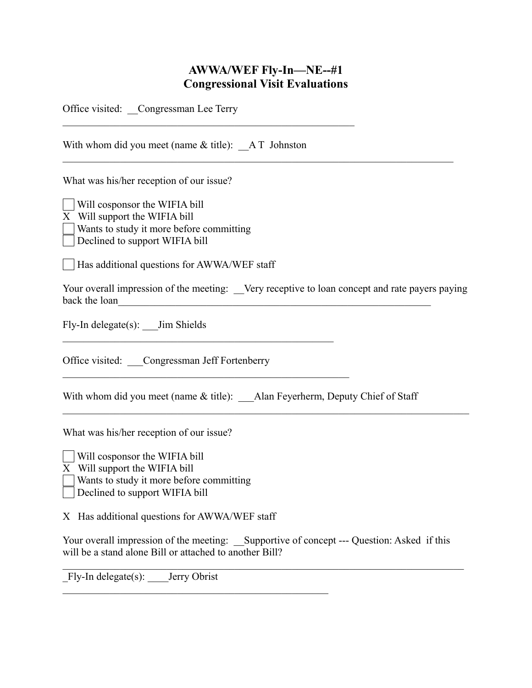## **AWWA/WEF Fly-In—NE--#1 Congressional Visit Evaluations**

Office visited: Congressman Lee Terry

With whom did you meet (name  $&$  title):  $&A T$  Johnston  $\mathcal{L}_\mathcal{L} = \{ \mathcal{L}_\mathcal{L} = \{ \mathcal{L}_\mathcal{L} = \{ \mathcal{L}_\mathcal{L} = \{ \mathcal{L}_\mathcal{L} = \{ \mathcal{L}_\mathcal{L} = \{ \mathcal{L}_\mathcal{L} = \{ \mathcal{L}_\mathcal{L} = \{ \mathcal{L}_\mathcal{L} = \{ \mathcal{L}_\mathcal{L} = \{ \mathcal{L}_\mathcal{L} = \{ \mathcal{L}_\mathcal{L} = \{ \mathcal{L}_\mathcal{L} = \{ \mathcal{L}_\mathcal{L} = \{ \mathcal{L}_\mathcal{$ 

 $\mathcal{L}_\text{max}$  , and the contract of the contract of the contract of the contract of the contract of the contract of the contract of the contract of the contract of the contract of the contract of the contract of the contr

What was his/her reception of our issue?

 Will cosponsor the WIFIA bill X Will support the WIFIA bill Wants to study it more before committing Declined to support WIFIA bill

Has additional questions for AWWA/WEF staff

Your overall impression of the meeting: Very receptive to loan concept and rate payers paying back the loan

 $\mathcal{L}_\mathcal{L} = \{ \mathcal{L}_\mathcal{L} = \{ \mathcal{L}_\mathcal{L} = \{ \mathcal{L}_\mathcal{L} = \{ \mathcal{L}_\mathcal{L} = \{ \mathcal{L}_\mathcal{L} = \{ \mathcal{L}_\mathcal{L} = \{ \mathcal{L}_\mathcal{L} = \{ \mathcal{L}_\mathcal{L} = \{ \mathcal{L}_\mathcal{L} = \{ \mathcal{L}_\mathcal{L} = \{ \mathcal{L}_\mathcal{L} = \{ \mathcal{L}_\mathcal{L} = \{ \mathcal{L}_\mathcal{L} = \{ \mathcal{L}_\mathcal{$ 

Fly-In delegate(s): Jim Shields

Office visited: Congressman Jeff Fortenberry

 $\mathcal{L}_\text{max}$  and the contract of the contract of the contract of the contract of the contract of the contract of the contract of the contract of the contract of the contract of the contract of the contract of the contrac

 $\mathcal{L}_\text{max}$  , and the contract of the contract of the contract of the contract of the contract of the contract of the contract of the contract of the contract of the contract of the contract of the contract of the contr

With whom did you meet (name  $&$  title): Alan Feyerherm, Deputy Chief of Staff

What was his/her reception of our issue?

Will cosponsor the WIFIA bill

X Will support the WIFIA bill

Wants to study it more before committing

Declined to support WIFIA bill

X Has additional questions for AWWA/WEF staff

 $\mathcal{L}_\text{max}$  and the contract of the contract of the contract of the contract of the contract of the contract of the contract of the contract of the contract of the contract of the contract of the contract of the contrac

Your overall impression of the meeting: Supportive of concept --- Question: Asked if this will be a stand alone Bill or attached to another Bill?

 $\mathcal{L}_\mathcal{L} = \{ \mathcal{L}_\mathcal{L} = \{ \mathcal{L}_\mathcal{L} = \{ \mathcal{L}_\mathcal{L} = \{ \mathcal{L}_\mathcal{L} = \{ \mathcal{L}_\mathcal{L} = \{ \mathcal{L}_\mathcal{L} = \{ \mathcal{L}_\mathcal{L} = \{ \mathcal{L}_\mathcal{L} = \{ \mathcal{L}_\mathcal{L} = \{ \mathcal{L}_\mathcal{L} = \{ \mathcal{L}_\mathcal{L} = \{ \mathcal{L}_\mathcal{L} = \{ \mathcal{L}_\mathcal{L} = \{ \mathcal{L}_\mathcal{$ 

Fly-In delegate(s): Jerry Obrist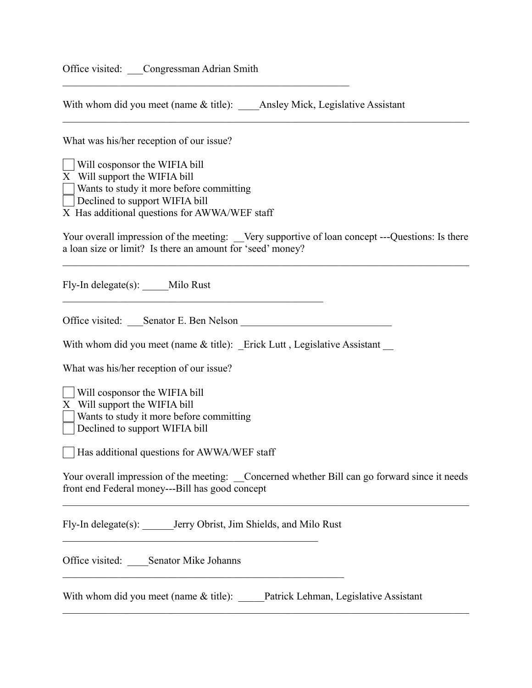Office visited: Congressman Adrian Smith

With whom did you meet (name & title): \_\_\_\_Ansley Mick, Legislative Assistant

 $\mathcal{L}_\text{max}$  and the contract of the contract of the contract of the contract of the contract of the contract of the contract of the contract of the contract of the contract of the contract of the contract of the contrac

What was his/her reception of our issue?

 Will cosponsor the WIFIA bill X Will support the WIFIA bill Wants to study it more before committing  $\Box$  Declined to support WIFIA bill

X Has additional questions for AWWA/WEF staff

Your overall impression of the meeting: Very supportive of loan concept ---Questions: Is there a loan size or limit? Is there an amount for 'seed' money?

 $\mathcal{L}_\mathcal{L} = \{ \mathcal{L}_\mathcal{L} = \{ \mathcal{L}_\mathcal{L} = \{ \mathcal{L}_\mathcal{L} = \{ \mathcal{L}_\mathcal{L} = \{ \mathcal{L}_\mathcal{L} = \{ \mathcal{L}_\mathcal{L} = \{ \mathcal{L}_\mathcal{L} = \{ \mathcal{L}_\mathcal{L} = \{ \mathcal{L}_\mathcal{L} = \{ \mathcal{L}_\mathcal{L} = \{ \mathcal{L}_\mathcal{L} = \{ \mathcal{L}_\mathcal{L} = \{ \mathcal{L}_\mathcal{L} = \{ \mathcal{L}_\mathcal{$ 

 $\mathcal{L}_\mathcal{L} = \{ \mathcal{L}_\mathcal{L} = \{ \mathcal{L}_\mathcal{L} = \{ \mathcal{L}_\mathcal{L} = \{ \mathcal{L}_\mathcal{L} = \{ \mathcal{L}_\mathcal{L} = \{ \mathcal{L}_\mathcal{L} = \{ \mathcal{L}_\mathcal{L} = \{ \mathcal{L}_\mathcal{L} = \{ \mathcal{L}_\mathcal{L} = \{ \mathcal{L}_\mathcal{L} = \{ \mathcal{L}_\mathcal{L} = \{ \mathcal{L}_\mathcal{L} = \{ \mathcal{L}_\mathcal{L} = \{ \mathcal{L}_\mathcal{$ 

Fly-In delegate(s): \_\_\_\_\_Milo Rust

Office visited: Senator E. Ben Nelson

 $\mathcal{L}_\text{max}$  , and the contract of the contract of the contract of the contract of the contract of the contract of the contract of the contract of the contract of the contract of the contract of the contract of the contr

With whom did you meet (name  $&$  title): Erick Lutt, Legislative Assistant

What was his/her reception of our issue?

Will cosponsor the WIFIA bill

X Will support the WIFIA bill

Wants to study it more before committing

Declined to support WIFIA bill

Has additional questions for AWWA/WEF staff

Your overall impression of the meeting: Concerned whether Bill can go forward since it needs front end Federal money---Bill has good concept

 $\mathcal{L}_\mathcal{L} = \{ \mathcal{L}_\mathcal{L} = \{ \mathcal{L}_\mathcal{L} = \{ \mathcal{L}_\mathcal{L} = \{ \mathcal{L}_\mathcal{L} = \{ \mathcal{L}_\mathcal{L} = \{ \mathcal{L}_\mathcal{L} = \{ \mathcal{L}_\mathcal{L} = \{ \mathcal{L}_\mathcal{L} = \{ \mathcal{L}_\mathcal{L} = \{ \mathcal{L}_\mathcal{L} = \{ \mathcal{L}_\mathcal{L} = \{ \mathcal{L}_\mathcal{L} = \{ \mathcal{L}_\mathcal{L} = \{ \mathcal{L}_\mathcal{$ 

 $\mathcal{L}_\mathcal{L} = \{ \mathcal{L}_\mathcal{L} = \{ \mathcal{L}_\mathcal{L} = \{ \mathcal{L}_\mathcal{L} = \{ \mathcal{L}_\mathcal{L} = \{ \mathcal{L}_\mathcal{L} = \{ \mathcal{L}_\mathcal{L} = \{ \mathcal{L}_\mathcal{L} = \{ \mathcal{L}_\mathcal{L} = \{ \mathcal{L}_\mathcal{L} = \{ \mathcal{L}_\mathcal{L} = \{ \mathcal{L}_\mathcal{L} = \{ \mathcal{L}_\mathcal{L} = \{ \mathcal{L}_\mathcal{L} = \{ \mathcal{L}_\mathcal{$ 

Fly-In delegate(s): \_\_\_\_\_\_Jerry Obrist, Jim Shields, and Milo Rust

 $\mathcal{L}_\text{max}$  , and the contract of the contract of the contract of the contract of the contract of the contract of the contract of the contract of the contract of the contract of the contract of the contract of the contr

Office visited: Senator Mike Johanns

With whom did you meet (name  $\&$  title): Patrick Lehman, Legislative Assistant

 $\mathcal{L}_\text{max}$  , and the set of the set of the set of the set of the set of the set of the set of the set of the set of the set of the set of the set of the set of the set of the set of the set of the set of the set of the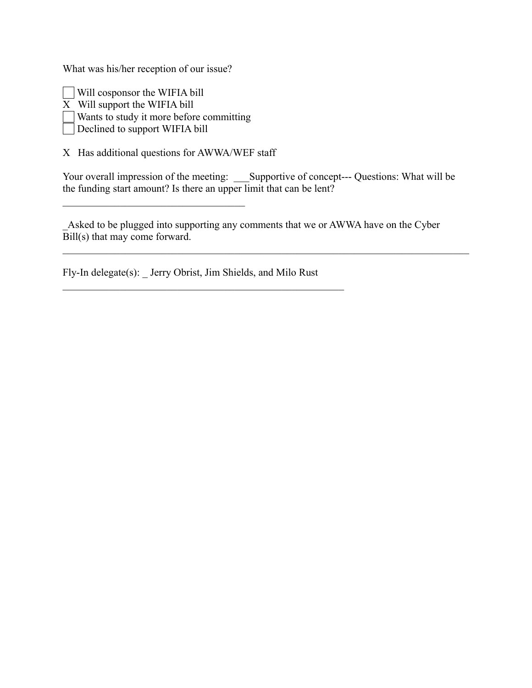What was his/her reception of our issue?

 Will cosponsor the WIFIA bill X Will support the WIFIA bill Wants to study it more before committing

 $\mathcal{L}_\text{max}$ 

Declined to support WIFIA bill

X Has additional questions for AWWA/WEF staff

Your overall impression of the meeting: Supportive of concept--- Questions: What will be the funding start amount? Is there an upper limit that can be lent?

Asked to be plugged into supporting any comments that we or AWWA have on the Cyber Bill(s) that may come forward.

 $\mathcal{L}_\mathcal{L} = \{ \mathcal{L}_\mathcal{L} = \{ \mathcal{L}_\mathcal{L} = \{ \mathcal{L}_\mathcal{L} = \{ \mathcal{L}_\mathcal{L} = \{ \mathcal{L}_\mathcal{L} = \{ \mathcal{L}_\mathcal{L} = \{ \mathcal{L}_\mathcal{L} = \{ \mathcal{L}_\mathcal{L} = \{ \mathcal{L}_\mathcal{L} = \{ \mathcal{L}_\mathcal{L} = \{ \mathcal{L}_\mathcal{L} = \{ \mathcal{L}_\mathcal{L} = \{ \mathcal{L}_\mathcal{L} = \{ \mathcal{L}_\mathcal{$ 

Fly-In delegate(s): \_ Jerry Obrist, Jim Shields, and Milo Rust

 $\mathcal{L}_\text{max}$  , and the contract of the contract of the contract of the contract of the contract of the contract of